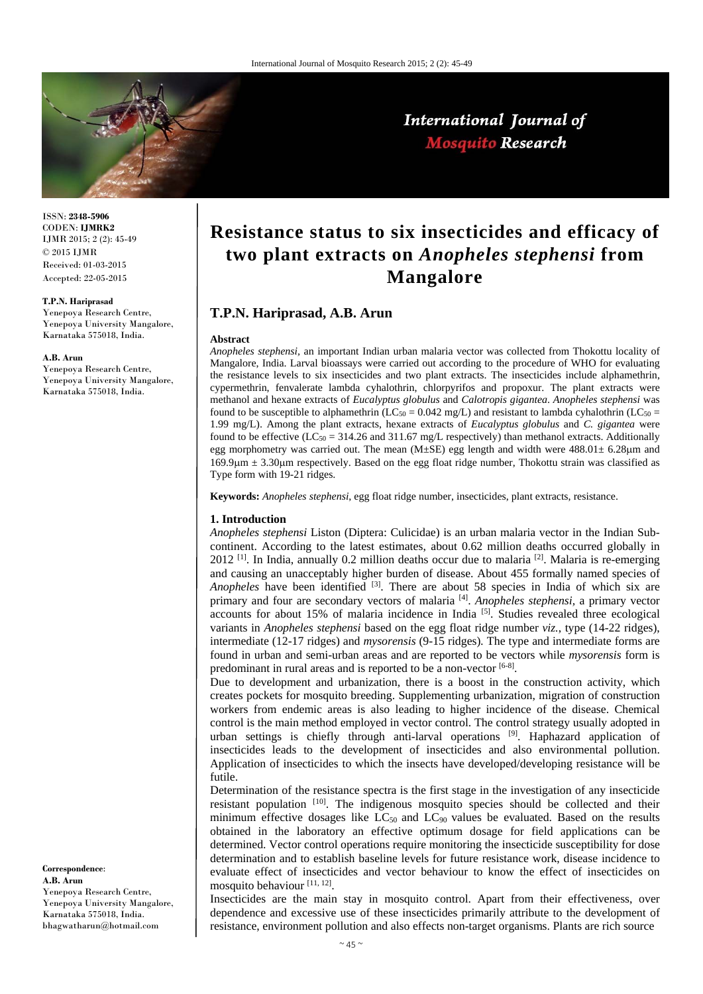

International Journal of **Mosquito Research** 

ISSN: **2348-5906** CODEN: **IJMRK2** IJMR 2015; 2 (2): 45-49 © 2015 IJMR Received: 01-03-2015 Accepted: 22-05-2015

#### **T.P.N. Hariprasad**

Yenepoya Research Centre, Yenepoya University Mangalore, Karnataka 575018, India.

#### **A.B. Arun**

Yenepoya Research Centre, Yenepoya University Mangalore, Karnataka 575018, India.

**Correspondence**: **A.B. Arun**  Yenepoya Research Centre, Yenepoya University Mangalore, Karnataka 575018, India. bhagwatharun@hotmail.com

# **Resistance status to six insecticides and efficacy of two plant extracts on** *Anopheles stephensi* **from Mangalore**

# **T.P.N. Hariprasad, A.B. Arun**

#### **Abstract**

*Anopheles stephensi,* an important Indian urban malaria vector was collected from Thokottu locality of Mangalore, India. Larval bioassays were carried out according to the procedure of WHO for evaluating the resistance levels to six insecticides and two plant extracts. The insecticides include alphamethrin, cypermethrin, fenvalerate lambda cyhalothrin, chlorpyrifos and propoxur. The plant extracts were methanol and hexane extracts of *Eucalyptus globulus* and *Calotropis gigantea*. *Anopheles stephensi* was found to be susceptible to alphamethrin (LC<sub>50</sub> = 0.042 mg/L) and resistant to lambda cyhalothrin (LC<sub>50</sub> = 1.99 mg/L). Among the plant extracts, hexane extracts of *Eucalyptus globulus* and *C. gigantea* were found to be effective (LC<sub>50</sub> = 314.26 and 311.67 mg/L respectively) than methanol extracts. Additionally egg morphometry was carried out. The mean  $(M\pm SE)$  egg length and width were  $488.01\pm 6.28 \mu m$  and  $169.9\mu$ m  $\pm$  3.30 $\mu$ m respectively. Based on the egg float ridge number, Thokottu strain was classified as Type form with 19-21 ridges.

**Keywords:** *Anopheles stephensi*, egg float ridge number, insecticides, plant extracts, resistance.

#### **1. Introduction**

*Anopheles stephensi* Liston (Diptera: Culicidae) is an urban malaria vector in the Indian Subcontinent. According to the latest estimates, about 0.62 million deaths occurred globally in  $2012$  <sup>[1]</sup>. In India, annually 0.2 million deaths occur due to malaria <sup>[2]</sup>. Malaria is re-emerging and causing an unacceptably higher burden of disease. About 455 formally named species of *Anopheles* have been identified <sup>[3]</sup>. There are about 58 species in India of which six are primary and four are secondary vectors of malaria [4]. *Anopheles stephensi,* a primary vector accounts for about 15% of malaria incidence in India [5]. Studies revealed three ecological variants in *Anopheles stephensi* based on the egg float ridge number *viz.*, type (14-22 ridges), intermediate (12-17 ridges) and *mysorensis* (9-15 ridges)*.* The type and intermediate forms are found in urban and semi-urban areas and are reported to be vectors while *mysorensis* form is predominant in rural areas and is reported to be a non-vector [6-8].

Due to development and urbanization, there is a boost in the construction activity, which creates pockets for mosquito breeding. Supplementing urbanization, migration of construction workers from endemic areas is also leading to higher incidence of the disease. Chemical control is the main method employed in vector control. The control strategy usually adopted in urban settings is chiefly through anti-larval operations <sup>[9]</sup>. Haphazard application of insecticides leads to the development of insecticides and also environmental pollution. Application of insecticides to which the insects have developed/developing resistance will be futile.

Determination of the resistance spectra is the first stage in the investigation of any insecticide resistant population [10]. The indigenous mosquito species should be collected and their minimum effective dosages like  $LC_{50}$  and  $LC_{90}$  values be evaluated. Based on the results obtained in the laboratory an effective optimum dosage for field applications can be determined. Vector control operations require monitoring the insecticide susceptibility for dose determination and to establish baseline levels for future resistance work, disease incidence to evaluate effect of insecticides and vector behaviour to know the effect of insecticides on mosquito behaviour [11, 12].

Insecticides are the main stay in mosquito control. Apart from their effectiveness, over dependence and excessive use of these insecticides primarily attribute to the development of resistance, environment pollution and also effects non-target organisms. Plants are rich source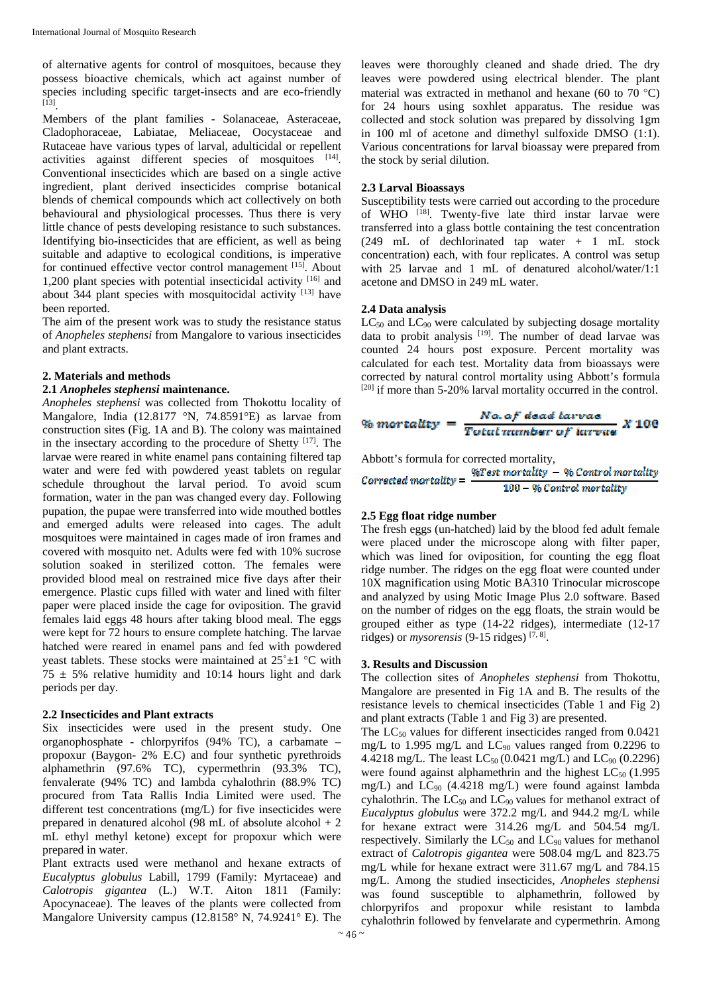of alternative agents for control of mosquitoes, because they possess bioactive chemicals, which act against number of species including specific target-insects and are eco-friendly [13].

Members of the plant families - Solanaceae, Asteraceae, Cladophoraceae, Labiatae, Meliaceae, Oocystaceae and Rutaceae have various types of larval, adulticidal or repellent activities against different species of mosquitoes [14]. Conventional insecticides which are based on a single active ingredient, plant derived insecticides comprise botanical blends of chemical compounds which act collectively on both behavioural and physiological processes. Thus there is very little chance of pests developing resistance to such substances. Identifying bio-insecticides that are efficient, as well as being suitable and adaptive to ecological conditions, is imperative for continued effective vector control management [15]. About 1,200 plant species with potential insecticidal activity  $[16]$  and about 344 plant species with mosquitocidal activity  $[13]$  have been reported.

The aim of the present work was to study the resistance status of *Anopheles stephensi* from Mangalore to various insecticides and plant extracts.

## **2. Materials and methods**

#### **2.1** *Anopheles stephensi* **maintenance.**

*Anopheles stephensi* was collected from Thokottu locality of Mangalore, India (12.8177 °N, 74.8591°E) as larvae from construction sites (Fig. 1A and B). The colony was maintained in the insectary according to the procedure of Shetty  $[17]$ . The larvae were reared in white enamel pans containing filtered tap water and were fed with powdered yeast tablets on regular schedule throughout the larval period. To avoid scum formation, water in the pan was changed every day. Following pupation, the pupae were transferred into wide mouthed bottles and emerged adults were released into cages. The adult mosquitoes were maintained in cages made of iron frames and covered with mosquito net. Adults were fed with 10% sucrose solution soaked in sterilized cotton. The females were provided blood meal on restrained mice five days after their emergence. Plastic cups filled with water and lined with filter paper were placed inside the cage for oviposition. The gravid females laid eggs 48 hours after taking blood meal. The eggs were kept for 72 hours to ensure complete hatching. The larvae hatched were reared in enamel pans and fed with powdered yeast tablets. These stocks were maintained at  $25^{\circ} \pm 1^{\circ}$ C with  $75 \pm 5\%$  relative humidity and 10:14 hours light and dark periods per day.

## **2.2 Insecticides and Plant extracts**

Six insecticides were used in the present study. One organophosphate - chlorpyrifos (94% TC), a carbamate – propoxur (Baygon- 2% E.C) and four synthetic pyrethroids alphamethrin (97.6% TC), cypermethrin (93.3% TC), fenvalerate (94% TC) and lambda cyhalothrin (88.9% TC) procured from Tata Rallis India Limited were used. The different test concentrations (mg/L) for five insecticides were prepared in denatured alcohol (98 mL of absolute alcohol + 2 mL ethyl methyl ketone) except for propoxur which were prepared in water.

Plant extracts used were methanol and hexane extracts of *Eucalyptus globulus* Labill, 1799 (Family: Myrtaceae) and *Calotropis gigantea* (L.) W.T. Aiton 1811 (Family: Apocynaceae). The leaves of the plants were collected from Mangalore University campus (12.8158° N, 74.9241° E). The

leaves were thoroughly cleaned and shade dried. The dry leaves were powdered using electrical blender. The plant material was extracted in methanol and hexane (60 to 70  $^{\circ}$ C) for 24 hours using soxhlet apparatus. The residue was collected and stock solution was prepared by dissolving 1gm in 100 ml of acetone and dimethyl sulfoxide DMSO (1:1). Various concentrations for larval bioassay were prepared from the stock by serial dilution.

## **2.3 Larval Bioassays**

Susceptibility tests were carried out according to the procedure of WHO <sup>[18]</sup>. Twenty-five late third instar larvae were transferred into a glass bottle containing the test concentration (249 mL of dechlorinated tap water + 1 mL stock concentration) each, with four replicates. A control was setup with 25 larvae and 1 mL of denatured alcohol/water/1:1 acetone and DMSO in 249 mL water.

## **2.4 Data analysis**

 $LC_{50}$  and  $LC_{90}$  were calculated by subjecting dosage mortality data to probit analysis [19]. The number of dead larvae was counted 24 hours post exposure. Percent mortality was calculated for each test. Mortality data from bioassays were corrected by natural control mortality using Abbott's formula  $[20]$  if more than 5-20% larval mortality occurred in the control.

$$
% mortality = \frac{Na. of dead tarvas}{Total runbstr of tarwas} \; X \; 100
$$

Abbott's formula for corrected mortality,

\n**Corrected mortality = 
$$
\frac{\%Test\ mortality - \% Control\ mortality}{100 - \% Control\ mortality}
$$**

## **2.5 Egg float ridge number**

The fresh eggs (un-hatched) laid by the blood fed adult female were placed under the microscope along with filter paper, which was lined for oviposition, for counting the egg float ridge number. The ridges on the egg float were counted under 10X magnification using Motic BA310 Trinocular microscope and analyzed by using Motic Image Plus 2.0 software. Based on the number of ridges on the egg floats, the strain would be grouped either as type (14-22 ridges), intermediate (12-17 ridges) or *mysorensis* (9-15 ridges)  $[7, 8]$ .

## **3. Results and Discussion**

The collection sites of *Anopheles stephensi* from Thokottu, Mangalore are presented in Fig 1A and B. The results of the resistance levels to chemical insecticides (Table 1 and Fig 2) and plant extracts (Table 1 and Fig 3) are presented.

The  $LC_{50}$  values for different insecticides ranged from 0.0421 mg/L to 1.995 mg/L and  $LC_{90}$  values ranged from 0.2296 to 4.4218 mg/L. The least  $LC_{50}$  (0.0421 mg/L) and  $LC_{90}$  (0.2296) were found against alphamethrin and the highest  $LC_{50}$  (1.995) mg/L) and LC90 (4.4218 mg/L) were found against lambda cyhalothrin. The  $LC_{50}$  and  $LC_{90}$  values for methanol extract of *Eucalyptus globulus* were 372.2 mg/L and 944.2 mg/L while for hexane extract were 314.26 mg/L and 504.54 mg/L respectively. Similarly the  $LC_{50}$  and  $LC_{90}$  values for methanol extract of *Calotropis gigantea* were 508.04 mg/L and 823.75 mg/L while for hexane extract were 311.67 mg/L and 784.15 mg/L. Among the studied insecticides, *Anopheles stephensi*  was found susceptible to alphamethrin, followed by chlorpyrifos and propoxur while resistant to lambda cyhalothrin followed by fenvelarate and cypermethrin. Among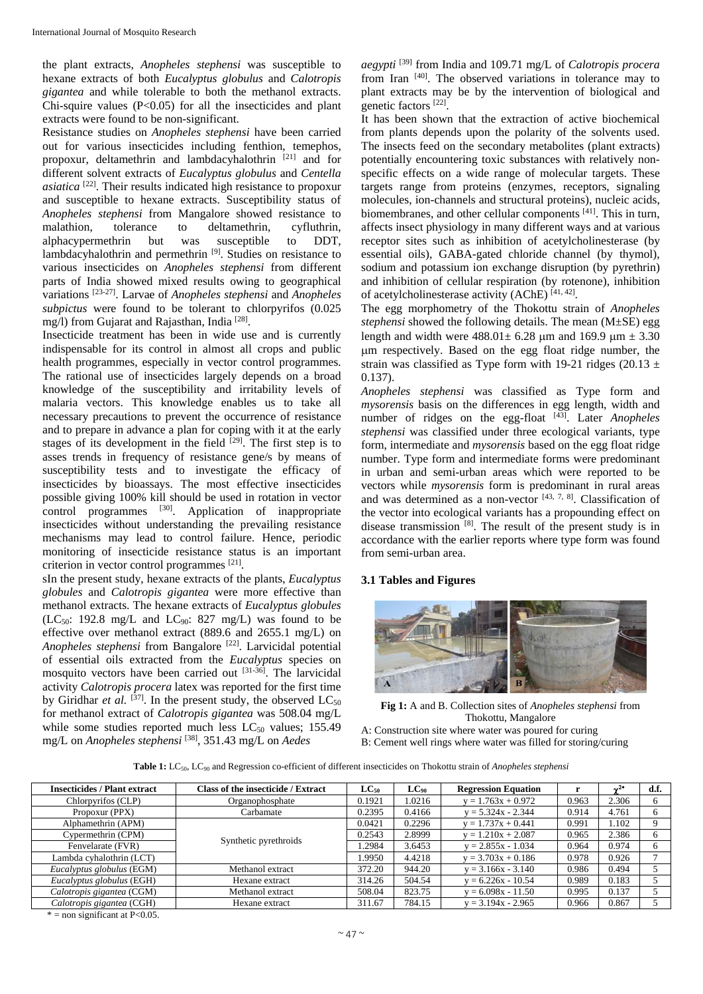the plant extracts, *Anopheles stephensi* was susceptible to hexane extracts of both *Eucalyptus globulus* and *Calotropis gigantea* and while tolerable to both the methanol extracts. Chi-squire values  $(P<0.05)$  for all the insecticides and plant extracts were found to be non-significant.

Resistance studies on *Anopheles stephensi* have been carried out for various insecticides including fenthion, temephos, propoxur, deltamethrin and lambdacyhalothrin [21] and for different solvent extracts of *Eucalyptus globulus* and *Centella asiatica* [22]. Their results indicated high resistance to propoxur and susceptible to hexane extracts. Susceptibility status of *Anopheles stephensi* from Mangalore showed resistance to malathion, tolerance to deltamethrin, cyfluthrin, alphacypermethrin but was susceptible to DDT, lambdacyhalothrin and permethrin [9]. Studies on resistance to various insecticides on *Anopheles stephensi* from different parts of India showed mixed results owing to geographical variations [23-27]. Larvae of *Anopheles stephensi* and *Anopheles subpictus* were found to be tolerant to chlorpyrifos (0.025 mg/l) from Gujarat and Rajasthan, India <sup>[28]</sup>.

Insecticide treatment has been in wide use and is currently indispensable for its control in almost all crops and public health programmes, especially in vector control programmes. The rational use of insecticides largely depends on a broad knowledge of the susceptibility and irritability levels of malaria vectors. This knowledge enables us to take all necessary precautions to prevent the occurrence of resistance and to prepare in advance a plan for coping with it at the early stages of its development in the field  $[29]$ . The first step is to asses trends in frequency of resistance gene/s by means of susceptibility tests and to investigate the efficacy of insecticides by bioassays. The most effective insecticides possible giving 100% kill should be used in rotation in vector control programmes <sup>[30]</sup>. Application of inappropriate insecticides without understanding the prevailing resistance mechanisms may lead to control failure. Hence, periodic monitoring of insecticide resistance status is an important criterion in vector control programmes [21].

sIn the present study, hexane extracts of the plants, *Eucalyptus globules* and *Calotropis gigantea* were more effective than methanol extracts. The hexane extracts of *Eucalyptus globules* (LC<sub>50</sub>: 192.8 mg/L and LC<sub>90</sub>: 827 mg/L) was found to be effective over methanol extract (889.6 and 2655.1 mg/L) on *Anopheles stephensi* from Bangalore [22]. Larvicidal potential of essential oils extracted from the *Eucalyptus* species on mosquito vectors have been carried out [31-36]. The larvicidal activity *Calotropis procera* latex was reported for the first time by Giridhar *et al.*  $[37]$ . In the present study, the observed  $LC_{50}$ for methanol extract of *Calotropis gigantea* was 508.04 mg/L while some studies reported much less  $LC_{50}$  values; 155.49 mg/L on *Anopheles stephensi* [38], 351.43 mg/L on *Aedes* 

*aegypti* [39] from India and 109.71 mg/L of *Calotropis procera* from Iran <sup>[40]</sup>. The observed variations in tolerance may to plant extracts may be by the intervention of biological and genetic factors [22].

It has been shown that the extraction of active biochemical from plants depends upon the polarity of the solvents used. The insects feed on the secondary metabolites (plant extracts) potentially encountering toxic substances with relatively nonspecific effects on a wide range of molecular targets. These targets range from proteins (enzymes, receptors, signaling molecules, ion-channels and structural proteins), nucleic acids, biomembranes, and other cellular components [41]. This in turn, affects insect physiology in many different ways and at various receptor sites such as inhibition of acetylcholinesterase (by essential oils), GABA-gated chloride channel (by thymol), sodium and potassium ion exchange disruption (by pyrethrin) and inhibition of cellular respiration (by rotenone), inhibition of acetylcholinesterase activity  $(AChE)^{[41, 42]}$ .

The egg morphometry of the Thokottu strain of *Anopheles stephensi* showed the following details. The mean (M±SE) egg length and width were  $488.01 \pm 6.28$  µm and  $169.9$  µm  $\pm 3.30$ m respectively. Based on the egg float ridge number, the strain was classified as Type form with 19-21 ridges (20.13  $\pm$ 0.137).

*Anopheles stephensi* was classified as Type form and *mysorensis* basis on the differences in egg length, width and number of ridges on the egg-float [43]. Later *Anopheles stephensi* was classified under three ecological variants, type form, intermediate and *mysorensis* based on the egg float ridge number. Type form and intermediate forms were predominant in urban and semi-urban areas which were reported to be vectors while *mysorensis* form is predominant in rural areas and was determined as a non-vector  $[43, 7, 8]$ . Classification of the vector into ecological variants has a propounding effect on disease transmission  $[8]$ . The result of the present study is in accordance with the earlier reports where type form was found from semi-urban area.

# **3.1 Tables and Figures**



**Fig 1:** A and B. Collection sites of *Anopheles stephensi* from Thokottu, Mangalore

A: Construction site where water was poured for curing

B: Cement well rings where water was filled for storing/curing

**Table 1:** LC50, LC90 and Regression co-efficient of different insecticides on Thokottu strain of *Anopheles stephensi* 

| <b>Insecticides / Plant extract</b> | Class of the insecticide / Extract | $LC_{50}$ | $LC_{90}$ | <b>Regression Equation</b> |       |       | d.f. |
|-------------------------------------|------------------------------------|-----------|-----------|----------------------------|-------|-------|------|
| Chlorpyrifos (CLP)                  | Organophosphate                    | 0.1921    | 1.0216    | $y = 1.763x + 0.972$       | 0.963 | 2.306 |      |
| Propoxur (PPX)                      | Carbamate                          | 0.2395    | 0.4166    | $y = 5.324x - 2.344$       | 0.914 | 4.761 |      |
| Alphamethrin (APM)                  | Synthetic pyrethroids              | 0.0421    | 0.2296    | $y = 1.737x + 0.441$       | 0.991 | 1.102 |      |
| Cypermethrin (CPM)                  |                                    | 0.2543    | 2.8999    | $y = 1.210x + 2.087$       | 0.965 | 2.386 |      |
| Fenvelarate (FVR)                   |                                    | .2984     | 3.6453    | $y = 2.855x - 1.034$       | 0.964 | 0.974 |      |
| Lambda cyhalothrin (LCT)            |                                    | .9950     | 4.4218    | $y = 3.703x + 0.186$       | 0.978 | 0.926 |      |
| Eucalyptus globulus (EGM)           | Methanol extract                   | 372.20    | 944.20    | $y = 3.166x - 3.140$       | 0.986 | 0.494 |      |
| Eucalyptus globulus (EGH)           | Hexane extract                     | 314.26    | 504.54    | $v = 6.226x - 10.54$       | 0.989 | 0.183 |      |
| Calotropis gigantea (CGM)           | Methanol extract                   | 508.04    | 823.75    | $v = 6.098x - 11.50$       | 0.995 | 0.137 |      |
| Calotropis gigantea (CGH)           | Hexane extract                     | 311.67    | 784.15    | $y = 3.194x - 2.965$       | 0.966 | 0.867 |      |

 $* =$  non significant at P<0.05.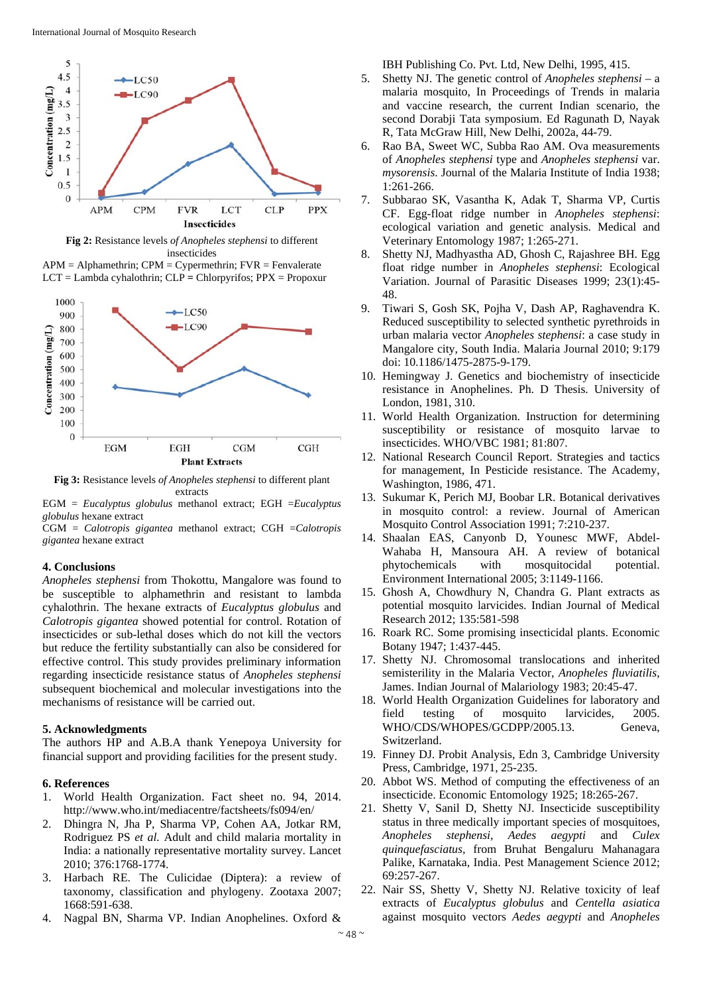

**Fig 2:** Resistance levels *of Anopheles stephensi* to different insecticides





**Fig 3:** Resistance levels *of Anopheles stephensi* to different plant extracts

EGM = *Eucalyptus globulus* methanol extract; EGH =*Eucalyptus globulus* hexane extract

CGM = *Calotropis gigantea* methanol extract; CGH =*Calotropis gigantea* hexane extract

## **4. Conclusions**

*Anopheles stephensi* from Thokottu, Mangalore was found to be susceptible to alphamethrin and resistant to lambda cyhalothrin. The hexane extracts of *Eucalyptus globulus* and *Calotropis gigantea* showed potential for control. Rotation of insecticides or sub-lethal doses which do not kill the vectors but reduce the fertility substantially can also be considered for effective control. This study provides preliminary information regarding insecticide resistance status of *Anopheles stephensi* subsequent biochemical and molecular investigations into the mechanisms of resistance will be carried out.

## **5. Acknowledgments**

The authors HP and A.B.A thank Yenepoya University for financial support and providing facilities for the present study.

## **6. References**

- 1. World Health Organization. Fact sheet no. 94, 2014. http://www.who.int/mediacentre/factsheets/fs094/en/
- 2. Dhingra N, Jha P, Sharma VP, Cohen AA, Jotkar RM, Rodriguez PS *et al.* Adult and child malaria mortality in India: a nationally representative mortality survey. Lancet 2010; 376:1768-1774.
- 3. Harbach RE. The Culicidae (Diptera): a review of taxonomy, classification and phylogeny. Zootaxa 2007; 1668:591-638.
- 4. Nagpal BN, Sharma VP. Indian Anophelines. Oxford &

IBH Publishing Co. Pvt. Ltd, New Delhi, 1995, 415.

- 5. Shetty NJ. The genetic control of *Anopheles stephensi* a malaria mosquito, In Proceedings of Trends in malaria and vaccine research, the current Indian scenario, the second Dorabji Tata symposium. Ed Ragunath D, Nayak R, Tata McGraw Hill, New Delhi, 2002a, 44-79.
- 6. Rao BA, Sweet WC, Subba Rao AM. Ova measurements of *Anopheles stephensi* type and *Anopheles stephensi* var. *mysorensis*. Journal of the Malaria Institute of India 1938; 1:261-266.
- 7. Subbarao SK, Vasantha K, Adak T, Sharma VP, Curtis CF. Egg-float ridge number in *Anopheles stephensi*: ecological variation and genetic analysis. Medical and Veterinary Entomology 1987; 1:265-271.
- 8. Shetty NJ, Madhyastha AD, Ghosh C, Rajashree BH. Egg float ridge number in *Anopheles stephensi*: Ecological Variation. Journal of Parasitic Diseases 1999; 23(1):45- 48.
- 9. Tiwari S, Gosh SK, Pojha V, Dash AP, Raghavendra K. Reduced susceptibility to selected synthetic pyrethroids in urban malaria vector *Anopheles stephensi*: a case study in Mangalore city, South India. Malaria Journal 2010; 9:179 doi: 10.1186/1475-2875-9-179.
- 10. Hemingway J. Genetics and biochemistry of insecticide resistance in Anophelines. Ph. D Thesis. University of London, 1981, 310.
- 11. World Health Organization. Instruction for determining susceptibility or resistance of mosquito larvae to insecticides. WHO/VBC 1981; 81:807.
- 12. National Research Council Report. Strategies and tactics for management, In Pesticide resistance. The Academy, Washington, 1986, 471.
- 13. Sukumar K, Perich MJ, Boobar LR. Botanical derivatives in mosquito control: a review. Journal of American Mosquito Control Association 1991; 7:210-237.
- 14. Shaalan EAS, Canyonb D, Younesc MWF, Abdel-Wahaba H, Mansoura AH. A review of botanical phytochemicals with mosquitocidal potential. Environment International 2005; 3:1149-1166.
- 15. Ghosh A, Chowdhury N, Chandra G. Plant extracts as potential mosquito larvicides. Indian Journal of Medical Research 2012; 135:581-598
- 16. Roark RC. Some promising insecticidal plants. Economic Botany 1947; 1:437-445.
- 17. Shetty NJ. Chromosomal translocations and inherited semisterility in the Malaria Vector, *Anopheles fluviatilis*, James. Indian Journal of Malariology 1983; 20:45-47.
- 18. World Health Organization Guidelines for laboratory and field testing of mosquito larvicides, 2005. WHO/CDS/WHOPES/GCDPP/2005.13. Geneva, Switzerland.
- 19. Finney DJ. Probit Analysis, Edn 3, Cambridge University Press, Cambridge, 1971, 25-235.
- 20. Abbot WS. Method of computing the effectiveness of an insecticide. Economic Entomology 1925; 18:265-267.
- 21. Shetty V, Sanil D, Shetty NJ. Insecticide susceptibility status in three medically important species of mosquitoes, *Anopheles stephensi, Aedes aegypti* and *Culex quinquefasciatus,* from Bruhat Bengaluru Mahanagara Palike, Karnataka, India. Pest Management Science 2012; 69:257-267.
- 22. Nair SS, Shetty V, Shetty NJ. Relative toxicity of leaf extracts of *Eucalyptus globulus* and *Centella asiatica* against mosquito vectors *Aedes aegypti* and *Anopheles*